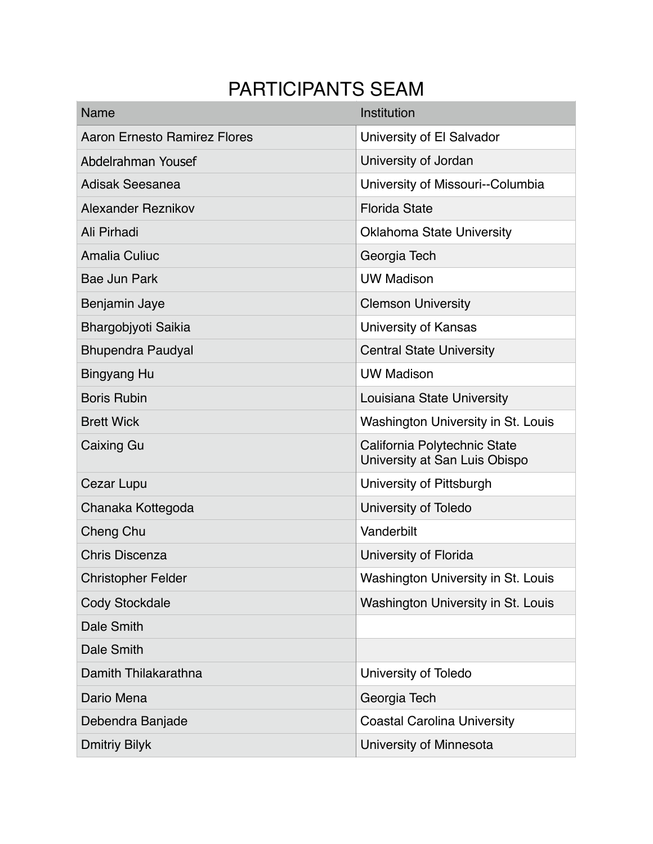## PARTICIPANTS SEAM

| Name                                | Institution                                                   |
|-------------------------------------|---------------------------------------------------------------|
| <b>Aaron Ernesto Ramirez Flores</b> | University of El Salvador                                     |
| Abdelrahman Yousef                  | University of Jordan                                          |
| <b>Adisak Seesanea</b>              | University of Missouri--Columbia                              |
| <b>Alexander Reznikov</b>           | <b>Florida State</b>                                          |
| Ali Pirhadi                         | <b>Oklahoma State University</b>                              |
| <b>Amalia Culiuc</b>                | Georgia Tech                                                  |
| <b>Bae Jun Park</b>                 | <b>UW Madison</b>                                             |
| Benjamin Jaye                       | <b>Clemson University</b>                                     |
| Bhargobjyoti Saikia                 | University of Kansas                                          |
| <b>Bhupendra Paudyal</b>            | <b>Central State University</b>                               |
| <b>Bingyang Hu</b>                  | <b>UW Madison</b>                                             |
| <b>Boris Rubin</b>                  | Louisiana State University                                    |
| <b>Brett Wick</b>                   | Washington University in St. Louis                            |
| Caixing Gu                          | California Polytechnic State<br>University at San Luis Obispo |
| Cezar Lupu                          | University of Pittsburgh                                      |
| Chanaka Kottegoda                   | University of Toledo                                          |
| Cheng Chu                           | Vanderbilt                                                    |
| <b>Chris Discenza</b>               | University of Florida                                         |
| <b>Christopher Felder</b>           | Washington University in St. Louis                            |
| <b>Cody Stockdale</b>               | Washington University in St. Louis                            |
| Dale Smith                          |                                                               |
| Dale Smith                          |                                                               |
| Damith Thilakarathna                | University of Toledo                                          |
| Dario Mena                          | Georgia Tech                                                  |
| Debendra Banjade                    | <b>Coastal Carolina University</b>                            |
| <b>Dmitriy Bilyk</b>                | University of Minnesota                                       |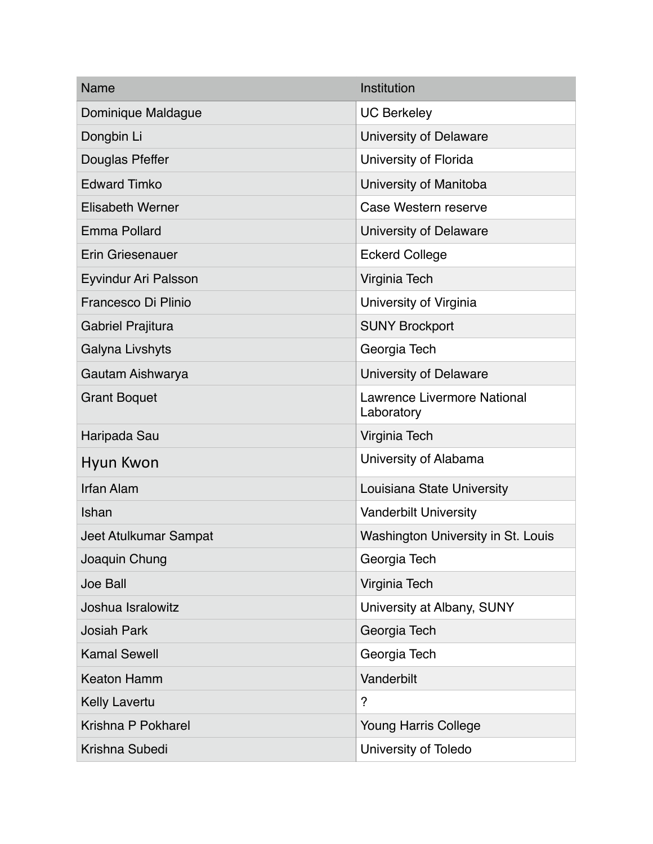| Name                        | Institution                                      |
|-----------------------------|--------------------------------------------------|
| Dominique Maldague          | <b>UC Berkeley</b>                               |
| Dongbin Li                  | University of Delaware                           |
| Douglas Pfeffer             | University of Florida                            |
| <b>Edward Timko</b>         | University of Manitoba                           |
| <b>Elisabeth Werner</b>     | Case Western reserve                             |
| <b>Emma Pollard</b>         | University of Delaware                           |
| <b>Erin Griesenauer</b>     | <b>Eckerd College</b>                            |
| <b>Eyvindur Ari Palsson</b> | Virginia Tech                                    |
| Francesco Di Plinio         | University of Virginia                           |
| Gabriel Prajitura           | <b>SUNY Brockport</b>                            |
| Galyna Livshyts             | Georgia Tech                                     |
| Gautam Aishwarya            | University of Delaware                           |
| <b>Grant Boquet</b>         | <b>Lawrence Livermore National</b><br>Laboratory |
| Haripada Sau                | Virginia Tech                                    |
| Hyun Kwon                   | University of Alabama                            |
| <b>Irfan Alam</b>           | Louisiana State University                       |
| Ishan                       | <b>Vanderbilt University</b>                     |
| Jeet Atulkumar Sampat       | Washington University in St. Louis               |
| Joaquin Chung               | Georgia Tech                                     |
| <b>Joe Ball</b>             | Virginia Tech                                    |
| Joshua Isralowitz           | University at Albany, SUNY                       |
| <b>Josiah Park</b>          | Georgia Tech                                     |
| <b>Kamal Sewell</b>         | Georgia Tech                                     |
| <b>Keaton Hamm</b>          | Vanderbilt                                       |
| <b>Kelly Lavertu</b>        | ?                                                |
| Krishna P Pokharel          | <b>Young Harris College</b>                      |
| Krishna Subedi              | University of Toledo                             |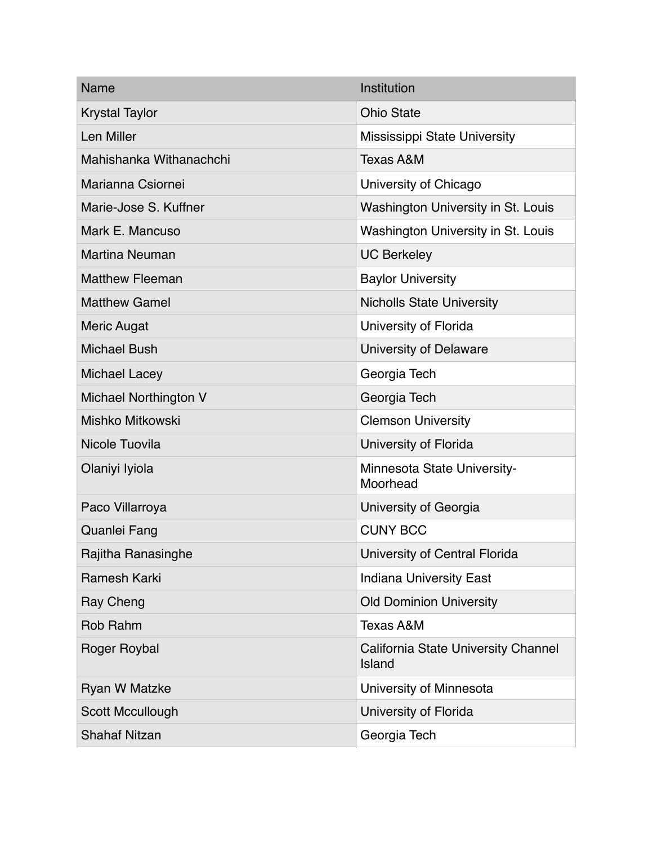| <b>Name</b>             | Institution                                          |
|-------------------------|------------------------------------------------------|
| <b>Krystal Taylor</b>   | <b>Ohio State</b>                                    |
| Len Miller              | <b>Mississippi State University</b>                  |
| Mahishanka Withanachchi | <b>Texas A&amp;M</b>                                 |
| Marianna Csiornei       | University of Chicago                                |
| Marie-Jose S. Kuffner   | Washington University in St. Louis                   |
| Mark E. Mancuso         | Washington University in St. Louis                   |
| <b>Martina Neuman</b>   | <b>UC Berkeley</b>                                   |
| <b>Matthew Fleeman</b>  | <b>Baylor University</b>                             |
| <b>Matthew Gamel</b>    | <b>Nicholls State University</b>                     |
| <b>Meric Augat</b>      | University of Florida                                |
| <b>Michael Bush</b>     | University of Delaware                               |
| <b>Michael Lacey</b>    | Georgia Tech                                         |
| Michael Northington V   | Georgia Tech                                         |
| <b>Mishko Mitkowski</b> | <b>Clemson University</b>                            |
| Nicole Tuovila          | University of Florida                                |
| Olaniyi Iyiola          | Minnesota State University-<br>Moorhead              |
| Paco Villarroya         | University of Georgia                                |
| <b>Quanlei Fang</b>     | <b>CUNY BCC</b>                                      |
| Rajitha Ranasinghe      | University of Central Florida                        |
| Ramesh Karki            | <b>Indiana University East</b>                       |
| Ray Cheng               | <b>Old Dominion University</b>                       |
| Rob Rahm                | <b>Texas A&amp;M</b>                                 |
| Roger Roybal            | <b>California State University Channel</b><br>Island |
| <b>Ryan W Matzke</b>    | University of Minnesota                              |
| Scott Mccullough        | University of Florida                                |
| <b>Shahaf Nitzan</b>    | Georgia Tech                                         |